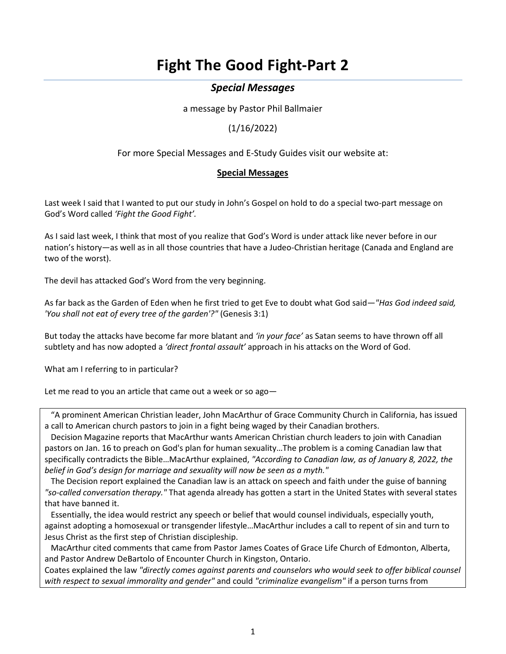# **Fight The Good Fight-Part 2**

# *Special Messages*

a message by Pastor Phil Ballmaier

(1/16/2022)

For more Special Messages and E-Study Guides visit our website at:

# **[Special Messages](https://www.ccelkgrove.org/special-messages/)**

Last week I said that I wanted to put our study in John's Gospel on hold to do a special two-part message on God's Word called *'Fight the Good Fight'.*

As I said last week, I think that most of you realize that God's Word is under attack like never before in our nation's history—as well as in all those countries that have a Judeo-Christian heritage (Canada and England are two of the worst).

The devil has attacked God's Word from the very beginning.

As far back as the Garden of Eden when he first tried to get Eve to doubt what God said—*"Has God indeed said, 'You shall not eat of every tree of the garden'?"* (Genesis 3:1)

But today the attacks have become far more blatant and *'in your face'* as Satan seems to have thrown off all subtlety and has now adopted a *'direct frontal assault'* approach in his attacks on the Word of God.

What am I referring to in particular?

Let me read to you an article that came out a week or so ago—

 "A prominent American Christian leader, John MacArthur of Grace Community Church in California, has issued a call to American church pastors to join in a fight being waged by their Canadian brothers.

 [Decision Magazine](https://decisionmagazine.com/john-macarthur-urges-pastors-preach-on-biblical-sexuality/) reports that MacArthur wants American Christian church leaders to join with Canadian pastors on Jan. 16 to preach on God's plan for human sexuality…The problem is a coming Canadian law that specifically contradicts the Bible…MacArthur explained, *"According to Canadian law, as of January 8, 2022, the belief in God's design for marriage and sexuality will now be seen as a myth."*

 The Decision report explained the Canadian law is an attack on speech and faith under the guise of banning *"so-called conversation therapy."* That agenda already has gotten a start in the United States with several states that have banned it.

 Essentially, the idea would restrict any speech or belief that would counsel individuals, especially youth, against adopting a homosexual or transgender lifestyle…MacArthur includes a call to repent of sin and turn to Jesus Christ as the first step of Christian discipleship.

 MacArthur cited comments that came from Pastor James Coates of Grace Life Church of Edmonton, Alberta, and Pastor Andrew DeBartolo of Encounter Church in Kingston, Ontario.

Coates explained the law *"directly comes against parents and counselors who would seek to offer biblical counsel with respect to sexual immorality and gender"* and could *"criminalize evangelism"* if a person turns from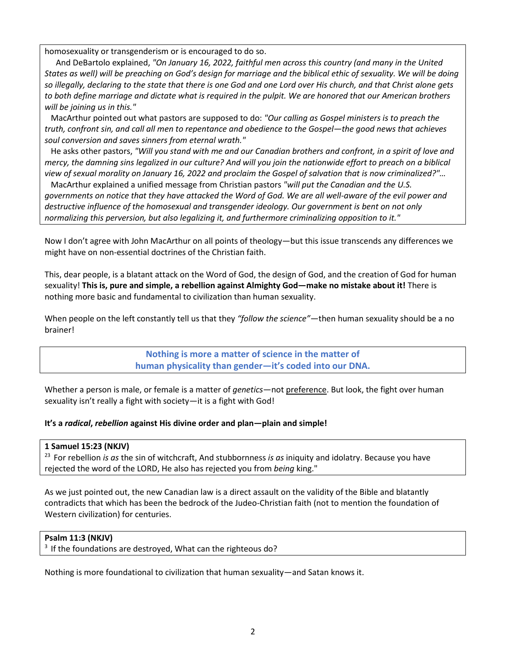homosexuality or transgenderism or is encouraged to do so.

And DeBartolo explained, *"On January 16, 2022, faithful men across this country (and many in the United States as well) will be preaching on God's design for marriage and the biblical ethic of sexuality. We will be doing so illegally, declaring to the state that there is one God and one Lord over His church, and that Christ alone gets to both define marriage and dictate what is required in the pulpit. We are honored that our American brothers will be joining us in this."*

 MacArthur pointed out what pastors are supposed to do: *"Our calling as Gospel ministers is to preach the truth, confront sin, and call all men to repentance and obedience to the Gospel—the good news that achieves soul conversion and saves sinners from eternal wrath."*

 He asks other pastors, *"Will you stand with me and our Canadian brothers and confront, in a spirit of love and mercy, the damning sins legalized in our culture? And will you join the nationwide effort to preach on a biblical view of sexual morality on January 16, 2022 and proclaim the Gospel of salvation that is now criminalized?"…*

 MacArthur explained a unified message from Christian pastors *"will put the Canadian and the U.S. governments on notice that they have attacked the Word of God. We are all well-aware of the evil power and destructive influence of the homosexual and transgender ideology. Our government is bent on not only normalizing this perversion, but also legalizing it, and furthermore criminalizing opposition to it."*

Now I don't agree with John MacArthur on all points of theology—but this issue transcends any differences we might have on non-essential doctrines of the Christian faith.

This, dear people, is a blatant attack on the Word of God, the design of God, and the creation of God for human sexuality! **This is, pure and simple, a rebellion against Almighty God—make no mistake about it!** There is nothing more basic and fundamental to civilization than human sexuality.

When people on the left constantly tell us that they *"follow the science"*—then human sexuality should be a no brainer!

> **Nothing is more a matter of science in the matter of human physicality than gender—it's coded into our DNA.**

Whether a person is male, or female is a matter of *genetics*—not preference. But look, the fight over human sexuality isn't really a fight with society—it is a fight with God!

#### **It's a** *radical***,** *rebellion* **against His divine order and plan—plain and simple!**

**1 Samuel 15:23 (NKJV)** 

23 For rebellion *is as* the sin of witchcraft, And stubbornness *is as* iniquity and idolatry. Because you have rejected the word of the LORD, He also has rejected you from *being* king."

As we just pointed out, the new Canadian law is a direct assault on the validity of the Bible and blatantly contradicts that which has been the bedrock of the Judeo-Christian faith (not to mention the foundation of Western civilization) for centuries.

#### **Psalm 11:3 (NKJV)**

 $3$  If the foundations are destroyed, What can the righteous do?

Nothing is more foundational to civilization that human sexuality—and Satan knows it.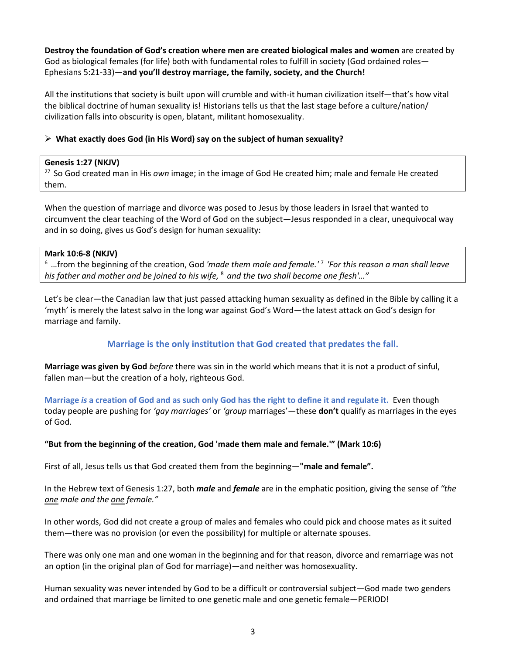**Destroy the foundation of God's creation where men are created biological males and women** are created by God as biological females (for life) both with fundamental roles to fulfill in society (God ordained roles— Ephesians 5:21-33)—**and you'll destroy marriage, the family, society, and the Church!**

All the institutions that society is built upon will crumble and with-it human civilization itself—that's how vital the biblical doctrine of human sexuality is! Historians tells us that the last stage before a culture/nation/ civilization falls into obscurity is open, blatant, militant homosexuality.

#### **What exactly does God (in His Word) say on the subject of human sexuality?**

#### **Genesis 1:27 (NKJV)**

27 So God created man in His *own* image; in the image of God He created him; male and female He created them.

When the question of marriage and divorce was posed to Jesus by those leaders in Israel that wanted to circumvent the clear teaching of the Word of God on the subject—Jesus responded in a clear, unequivocal way and in so doing, gives us God's design for human sexuality:

#### **Mark 10:6-8 (NKJV)**

6 …from the beginning of the creation, God *'made them male and female.'* <sup>7</sup>*'For this reason a man shall leave his father and mother and be joined to his wife,* <sup>8</sup>*and the two shall become one flesh'…"*

Let's be clear—the Canadian law that just passed attacking human sexuality as defined in the Bible by calling it a 'myth' is merely the latest salvo in the long war against God's Word—the latest attack on God's design for marriage and family.

# **Marriage is the only institution that God created that predates the fall.**

**Marriage was given by God** *before* there was sin in the world which means that it is not a product of sinful, fallen man—but the creation of a holy, righteous God.

**Marriage** *is* **a creation of God and as such only God has the right to define it and regulate it.** Even though today people are pushing for *'gay marriages'* or *'group* marriages'—these **don't** qualify as marriages in the eyes of God.

#### **"But from the beginning of the creation, God 'made them male and female.'" (Mark 10:6)**

First of all, Jesus tells us that God created them from the beginning—**"male and female".** 

In the Hebrew text of Genesis 1:27, both *male* and *female* are in the emphatic position, giving the sense of *"the one male and the one female."*

In other words, God did not create a group of males and females who could pick and choose mates as it suited them—there was no provision (or even the possibility) for multiple or alternate spouses.

There was only one man and one woman in the beginning and for that reason, divorce and remarriage was not an option (in the original plan of God for marriage)—and neither was homosexuality.

Human sexuality was never intended by God to be a difficult or controversial subject—God made two genders and ordained that marriage be limited to one genetic male and one genetic female—PERIOD!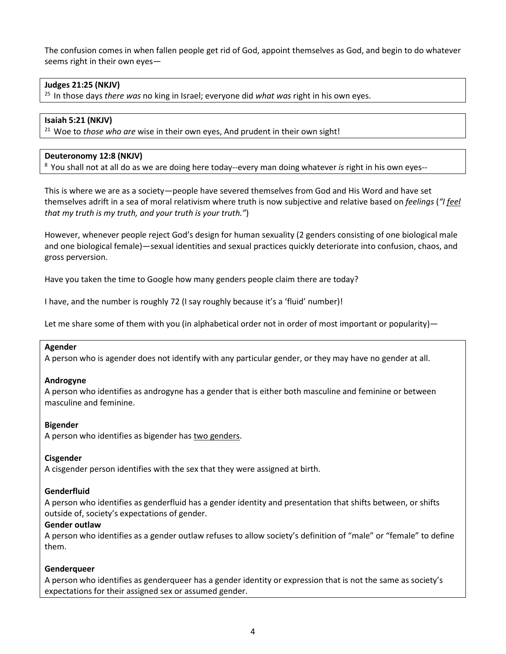The confusion comes in when fallen people get rid of God, appoint themselves as God, and begin to do whatever seems right in their own eyes—

#### **Judges 21:25 (NKJV)**

25 In those days *there was* no king in Israel; everyone did *what was* right in his own eyes.

#### **Isaiah 5:21 (NKJV)**

21 Woe to *those who are* wise in their own eyes, And prudent in their own sight!

#### **Deuteronomy 12:8 (NKJV)**

8 You shall not at all do as we are doing here today--every man doing whatever *is* right in his own eyes--

This is where we are as a society—people have severed themselves from God and His Word and have set themselves adrift in a sea of moral relativism where truth is now subjective and relative based on *feelings* (*"I feel that my truth is my truth, and your truth is your truth."*)

However, whenever people reject God's design for human sexuality (2 genders consisting of one biological male and one biological female)—sexual identities and sexual practices quickly deteriorate into confusion, chaos, and gross perversion.

Have you taken the time to Google how many genders people claim there are today?

I have, and the number is roughly 72 (I say roughly because it's a 'fluid' number)!

Let me share some of them with you (in alphabetical order not in order of most important or popularity)—

#### **Agender**

A person who is agender does not identify with any particular gender, or they may have no gender at all.

#### **Androgyne**

A person who identifies as androgyne has a gender that is either both masculine and feminine or between masculine and feminine.

#### **Bigender**

A person who identifies as bigender has [two genders.](https://lgbtqia.ucdavis.edu/educated/glossary)

#### **Cisgender**

A cisgender person identifies with the sex that they were assigned at birth.

#### **Genderfluid**

A person who identifies as genderfluid has a gender identity and presentation that shifts between, or shifts outside of, society's expectations of gender.

#### **Gender outlaw**

A person who identifies as a gender outlaw refuses to allow society's definition of "male" or "female" to define them.

#### **Genderqueer**

A person who identifies as genderqueer has a gender identity or expression that is not the same as society's expectations for their assigned sex or assumed gender.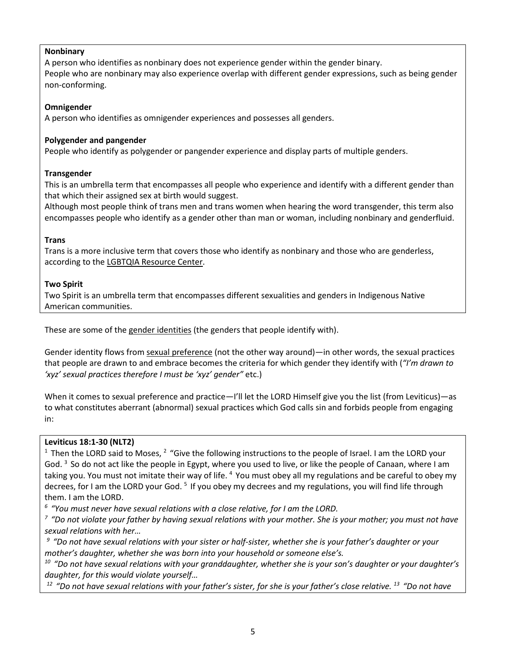## **Nonbinary**

A person who identifies as nonbinary does not experience gender within the gender binary. People who are nonbinary may also experience overlap with different gender expressions, such as being gender non-conforming.

## **Omnigender**

A person who identifies as omnigender experiences and possesses all genders.

## **Polygender and pangender**

People who identify as polygender or pangender experience and display parts of multiple genders.

## **Transgender**

This is an umbrella term that encompasses all people who experience and identify with a different gender than that which their assigned sex at birth would suggest.

Although most people think of trans men and trans women when hearing the word transgender, this term also encompasses people who identify as a gender other than man or woman, including nonbinary and genderfluid.

# **Trans**

Trans is a more inclusive term that covers those who identify as nonbinary and those who are genderless, according to the [LGBTQIA Resource Center.](https://lgbtqia.ucdavis.edu/educated/glossary)

## **Two Spirit**

Two Spirit is an umbrella term that encompasses different sexualities and genders in Indigenous Native American communities.

These are some of the gender identities (the genders that people identify with).

Gender identity flows from sexual preference (not the other way around)—in other words, the sexual practices that people are drawn to and embrace becomes the criteria for which gender they identify with (*"I'm drawn to 'xyz' sexual practices therefore I must be 'xyz' gender"* etc.)

When it comes to sexual preference and practice—I'll let the LORD Himself give you the list (from Leviticus)—as to what constitutes aberrant (abnormal) sexual practices which God calls sin and forbids people from engaging in:

#### **Leviticus 18:1-30 (NLT2)**

<sup>1</sup> Then the LORD said to Moses,  $2$  "Give the following instructions to the people of Israel. I am the LORD your God.  $3$  So do not act like the people in Egypt, where you used to live, or like the people of Canaan, where I am taking you. You must not imitate their way of life. <sup>4</sup> You must obey all my regulations and be careful to obey my decrees, for I am the LORD your God. 5 If you obey my decrees and my regulations, you will find life through them. I am the LORD.

<sup>6</sup> "You must never have sexual relations with a close relative, for *I am the LORD.*<br><sup>7</sup> "Do not violate your father by having sexual relations with your mother. She is your mother; you must not have *sexual relations with her…*

*9 "Do not have sexual relations with your sister or half-sister, whether she is your father's daughter or your mother's daughter, whether she was born into your household or someone else's.* 

*10 "Do not have sexual relations with your granddaughter, whether she is your son's daughter or your daughter's daughter, for this would violate yourself…*

*12 "Do not have sexual relations with your father's sister, for she is your father's close relative. 13 "Do not have*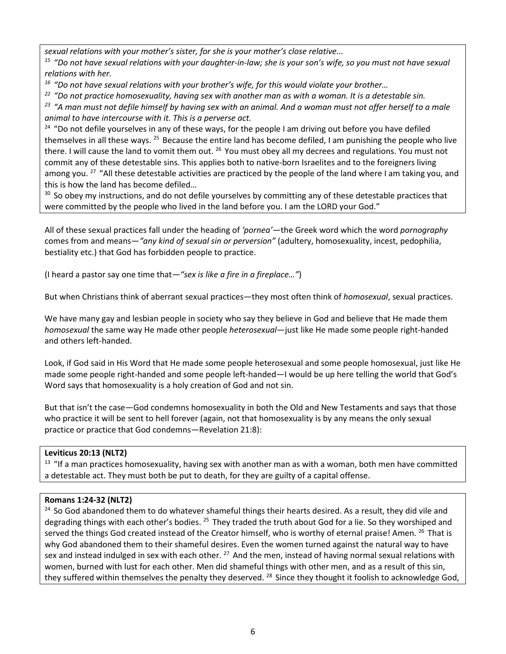*sexual relations with your mother's sister, for she is your mother's close relative...*

*15 "Do not have sexual relations with your daughter-in-law; she is your son's wife, so you must not have sexual relations with her.* 

*16 "Do not have sexual relations with your brother's wife, for this would violate your brother…*

*22 "Do not practice homosexuality, having sex with another man as with a woman. It is a detestable sin.* 

*23 "A man must not defile himself by having sex with an animal. And a woman must not offer herself to a male animal to have intercourse with it. This is a perverse act.* 

 $24$  "Do not defile yourselves in any of these ways, for the people I am driving out before you have defiled themselves in all these ways. <sup>25</sup> Because the entire land has become defiled, I am punishing the people who live there. I will cause the land to vomit them out. <sup>26</sup> You must obey all my decrees and regulations. You must not commit any of these detestable sins. This applies both to native-born Israelites and to the foreigners living among you. <sup>27</sup> "All these detestable activities are practiced by the people of the land where I am taking you, and this is how the land has become defiled…

<sup>30</sup> So obey my instructions, and do not defile yourselves by committing any of these detestable practices that were committed by the people who lived in the land before you. I am the LORD your God."

All of these sexual practices fall under the heading of *'pornea'—*the Greek word which the word *pornography* comes from and means—*"any kind of sexual sin or perversion"* (adultery, homosexuality, incest, pedophilia, bestiality etc.) that God has forbidden people to practice.

(I heard a pastor say one time that*—"sex is like a fire in a fireplace…"*)

But when Christians think of aberrant sexual practices—they most often think of *homosexual*, sexual practices.

We have many gay and lesbian people in society who say they believe in God and believe that He made them *homosexual* the same way He made other people *heterosexual*—just like He made some people right-handed and others left-handed.

Look, if God said in His Word that He made some people heterosexual and some people homosexual, just like He made some people right-handed and some people left-handed—I would be up here telling the world that God's Word says that homosexuality is a holy creation of God and not sin.

But that isn't the case—God condemns homosexuality in both the Old and New Testaments and says that those who practice it will be sent to hell forever (again, not that homosexuality is by any means the only sexual practice or practice that God condemns—Revelation 21:8):

# **Leviticus 20:13 (NLT2)**

<sup>13</sup> "If a man practices homosexuality, having sex with another man as with a woman, both men have committed a detestable act. They must both be put to death, for they are guilty of a capital offense.

# **Romans 1:24-32 (NLT2)**

<sup>24</sup> So God abandoned them to do whatever shameful things their hearts desired. As a result, they did vile and degrading things with each other's bodies. <sup>25</sup> They traded the truth about God for a lie. So they worshiped and served the things God created instead of the Creator himself, who is worthy of eternal praise! Amen. <sup>26</sup> That is why God abandoned them to their shameful desires. Even the women turned against the natural way to have sex and instead indulged in sex with each other. <sup>27</sup> And the men, instead of having normal sexual relations with women, burned with lust for each other. Men did shameful things with other men, and as a result of this sin, they suffered within themselves the penalty they deserved. <sup>28</sup> Since they thought it foolish to acknowledge God,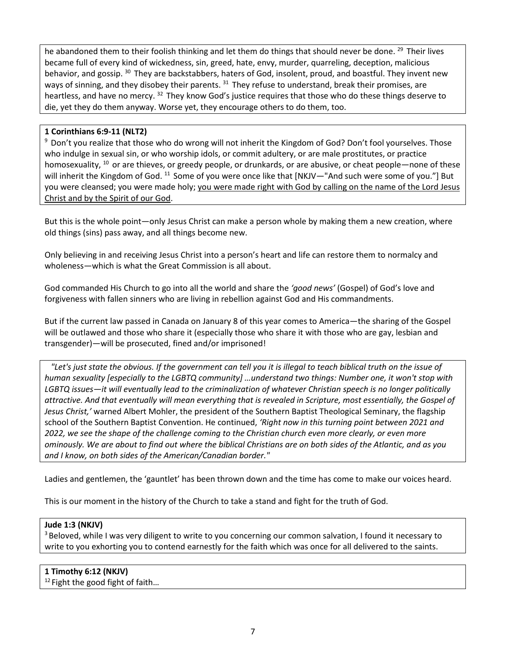he abandoned them to their foolish thinking and let them do things that should never be done. <sup>29</sup> Their lives became full of every kind of wickedness, sin, greed, hate, envy, murder, quarreling, deception, malicious behavior, and gossip. 30 They are backstabbers, haters of God, insolent, proud, and boastful. They invent new ways of sinning, and they disobey their parents. <sup>31</sup> They refuse to understand, break their promises, are heartless, and have no mercy. <sup>32</sup> They know God's justice requires that those who do these things deserve to die, yet they do them anyway. Worse yet, they encourage others to do them, too.

## **1 Corinthians 6:9-11 (NLT2)**

<sup>9</sup> Don't you realize that those who do wrong will not inherit the Kingdom of God? Don't fool yourselves. Those who indulge in sexual sin, or who worship idols, or commit adultery, or are male prostitutes, or practice homosexuality,  $^{10}$  or are thieves, or greedy people, or drunkards, or are abusive, or cheat people—none of these will inherit the Kingdom of God. <sup>11</sup> Some of you were once like that [NKJV—"And such were some of you."] But you were cleansed; you were made holy; you were made right with God by calling on the name of the Lord Jesus Christ and by the Spirit of our God.

But this is the whole point—only Jesus Christ can make a person whole by making them a new creation, where old things (sins) pass away, and all things become new.

Only believing in and receiving Jesus Christ into a person's heart and life can restore them to normalcy and wholeness—which is what the Great Commission is all about.

God commanded His Church to go into all the world and share the *'good news'* (Gospel) of God's love and forgiveness with fallen sinners who are living in rebellion against God and His commandments.

But if the current law passed in Canada on January 8 of this year comes to America—the sharing of the Gospel will be outlawed and those who share it (especially those who share it with those who are gay, lesbian and transgender)—will be prosecuted, fined and/or imprisoned!

 *"Let's just state the obvious. If the government can tell you it is illegal to teach biblical truth on the issue of human sexuality [especially to the LGBTQ community] …understand two things: Number one, it won't stop with LGBTQ issues—it will eventually lead to the criminalization of whatever Christian speech is no longer politically attractive. And that eventually will mean everything that is revealed in Scripture, most essentially, the Gospel of Jesus Christ,'* warned Albert Mohler, the president of the Southern Baptist Theological Seminary, the flagship school of the Southern Baptist Convention. He continued, *'Right now in this turning point between 2021 and 2022, we see the shape of the challenge coming to the Christian church even more clearly, or even more ominously. We are about to find out where the biblical Christians are on both sides of the Atlantic, and as you and I know, on both sides of the American/Canadian border."*

Ladies and gentlemen, the 'gauntlet' has been thrown down and the time has come to make our voices heard.

This is our moment in the history of the Church to take a stand and fight for the truth of God.

#### **Jude 1:3 (NKJV)**

<sup>3</sup> Beloved, while I was very diligent to write to you concerning our common salvation, I found it necessary to write to you exhorting you to contend earnestly for the faith which was once for all delivered to the saints.

#### **1 Timothy 6:12 (NKJV)**

 $12$  Fight the good fight of faith...